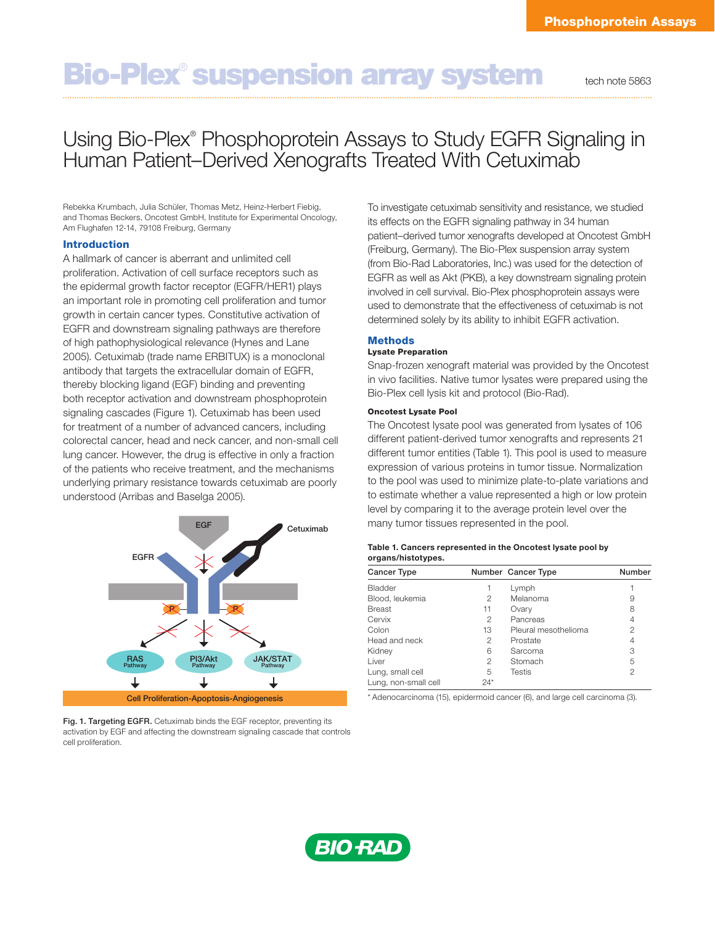# **Bio-Plex<sup>®</sup> suspension array system** tech note 5863

# Using Bio-Plex® Phosphoprotein Assays to Study EGFR Signaling in Human Patient–Derived Xenografts Treated With Cetuximab

Rebekka Krumbach, Julia Schüler, Thomas Metz, Heinz-Herbert Fiebig, and Thomas Beckers, Oncotest GmbH, Institute for Experimental Oncology, Am Flughafen 12-14, 79108 Freiburg, Germany

#### Introduction

A hallmark of cancer is aberrant and unlimited cell proliferation. Activation of cell surface receptors such as the epidermal growth factor receptor (EGFR/HER1) plays an important role in promoting cell proliferation and tumor growth in certain cancer types. Constitutive activation of EGFR and downstream signaling pathways are therefore of high pathophysiological relevance (Hynes and Lane 2005). Cetuximab (trade name ERBITUX) is a monoclonal antibody that targets the extracellular domain of EGFR, thereby blocking ligand (EGF) binding and preventing both receptor activation and downstream phosphoprotein signaling cascades (Figure 1). Cetuximab has been used for treatment of a number of advanced cancers, including colorectal cancer, head and neck cancer, and non-small cell lung cancer. However, the drug is effective in only a fraction of the patients who receive treatment, and the mechanisms underlying primary resistance towards cetuximab are poorly understood (Arribas and Baselga 2005).



Fig. 1. Targeting EGFR. Cetuximab binds the EGF receptor, preventing its activation by EGF and affecting the downstream signaling cascade that controls cell proliferation.

To investigate cetuximab sensitivity and resistance, we studied its effects on the EGFR signaling pathway in 34 human patient–derived tumor xenografts developed at Oncotest GmbH (Freiburg, Germany). The Bio-Plex suspension array system (from Bio-Rad Laboratories, Inc.) was used for the detection of EGFR as well as Akt (PKB), a key downstream signaling protein involved in cell survival. Bio-Plex phosphoprotein assays were used to demonstrate that the effectiveness of cetuximab is not determined solely by its ability to inhibit EGFR activation.

# Methods

# Lysate Preparation

Snap-frozen xenograft material was provided by the Oncotest in vivo facilities. Native tumor lysates were prepared using the Bio-Plex cell lysis kit and protocol (Bio-Rad).

#### Oncotest Lysate Pool

The Oncotest lysate pool was generated from lysates of 106 different patient-derived tumor xenografts and represents 21 different tumor entities (Table 1). This pool is used to measure expression of various proteins in tumor tissue. Normalization to the pool was used to minimize plate-to-plate variations and to estimate whether a value represented a high or low protein level by comparing it to the average protein level over the many tumor tissues represented in the pool.

| Table 1. Cancers represented in the Oncotest lysate pool by |
|-------------------------------------------------------------|
| organs/histotypes.                                          |

| <b>Cancer Type</b>   |       | Number Cancer Type   | Number |
|----------------------|-------|----------------------|--------|
| Bladder              |       | Lymph                |        |
| Blood, leukemia      | 2     | Melanoma             | 9      |
| <b>Breast</b>        | 11    | Ovary                | 8      |
| Cervix               | 2     | Pancreas             | 4      |
| Colon                | 13    | Pleural mesothelioma | 2      |
| Head and neck        | 2     | Prostate             |        |
| Kidney               | 6     | Sarcoma              | З      |
| Liver                | 2     | Stomach              | 5      |
| Lung, small cell     | 5     | <b>Testis</b>        | 2      |
| Lung, non-small cell | $24*$ |                      |        |

\* Adenocarcinoma (15), epidermoid cancer (6), and large cell carcinoma (3).

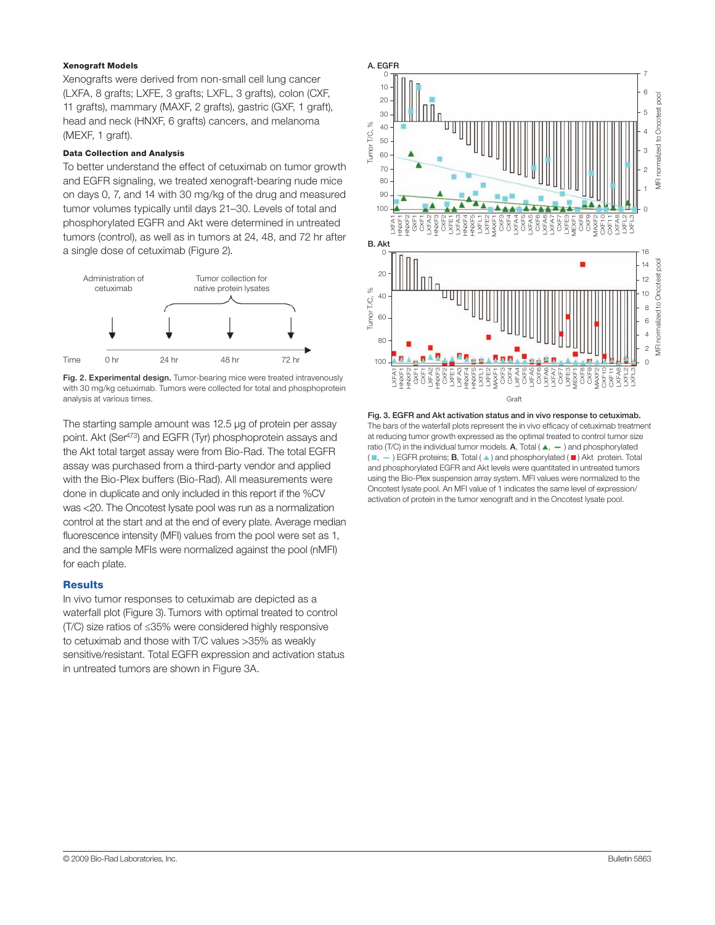#### Xenograft Models

Xenografts were derived from non-small cell lung cancer (LXFA, 8 grafts; LXFE, 3 grafts; LXFL, 3 grafts), colon (CXF, 11 grafts), mammary (MAXF, 2 grafts), gastric (GXF, 1 graft), head and neck (HNXF, 6 grafts) cancers, and melanoma (MEXF, 1 graft).

#### Data Collection and Analysis

To better understand the effect of cetuximab on tumor growth and EGFR signaling, we treated xenograft-bearing nude mice on days 0, 7, and 14 with 30 mg/kg of the drug and measured tumor volumes typically until days 21–30. Levels of total and phosphorylated EGFR and Akt were determined in untreated tumors (control), as well as in tumors at 24, 48, and 72 hr after a single dose of cetuximab (Figure 2).



Fig. 2. Experimental design. Tumor-bearing mice were treated intravenously with 30 mg/kg cetuximab. Tumors were collected for total and phosphoprotein analysis at various times.

The starting sample amount was 12.5 μg of protein per assay point. Akt (Ser<sup>473</sup>) and EGFR (Tyr) phosphoprotein assays and the Akt total target assay were from Bio-Rad. The total EGFR assay was purchased from a third-party vendor and applied with the Bio-Plex buffers (Bio-Rad). All measurements were done in duplicate and only included in this report if the %CV was <20. The Oncotest lysate pool was run as a normalization control at the start and at the end of every plate. Average median fluorescence intensity (MFI) values from the pool were set as 1, and the sample MFIs were normalized against the pool (nMFI) for each plate.

# **Results**

In vivo tumor responses to cetuximab are depicted as a waterfall plot (Figure 3). Tumors with optimal treated to control (T/C) size ratios of ≤35% were considered highly responsive to cetuximab and those with T/C values >35% as weakly sensitive/resistant. Total EGFR expression and activation status in untreated tumors are shown in Figure 3A.



Fig. 3. EGFR and Akt activation status and in vivo response to cetuximab. The bars of the waterfall plots represent the in vivo efficacy of cetuximab treatment at reducing tumor growth expressed as the optimal treated to control tumor size ratio (T/C) in the individual tumor models. A, Total ( $\blacktriangle$ ,  $\blacktriangle$ ) and phosphorylated  $(\blacksquare, -)$  EGFR proteins; **B**, Total ( $\blacktriangle$ ) and phosphorylated ( $\blacksquare$ ) Akt protein. Total and phosphorylated EGFR and Akt levels were quantitated in untreated tumors using the Bio-Plex suspension array system. MFI values were normalized to the Oncotest lysate pool. An MFI value of 1 indicates the same level of expression/<br>activation of protein in the tumor xenograft and in the Oncotest lysate pool.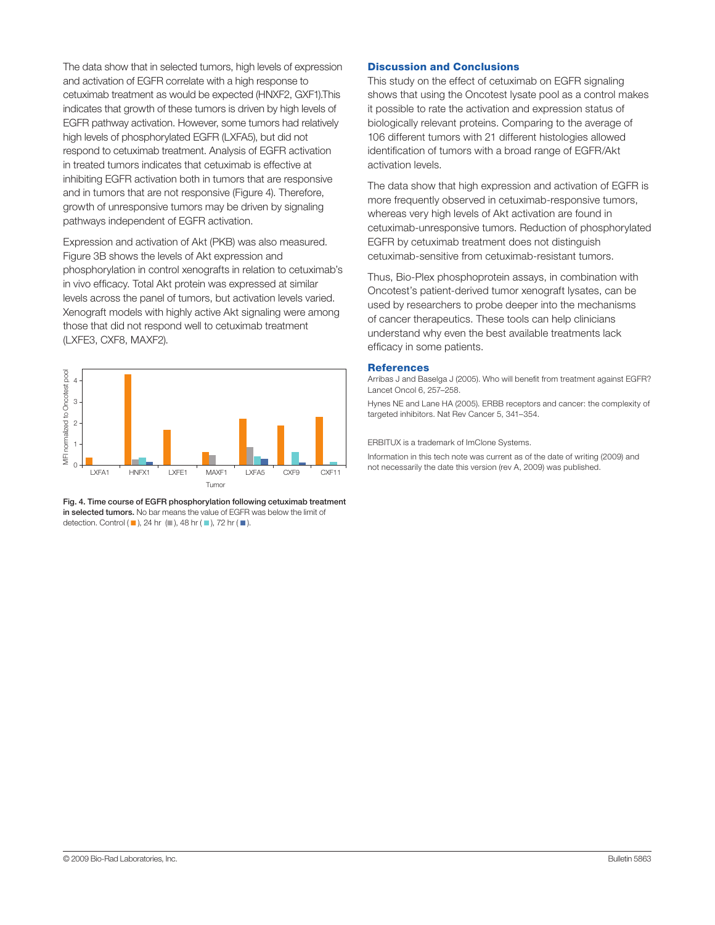The data show that in selected tumors, high levels of expression and activation of EGFR correlate with a high response to cetuximab treatment as would be expected (HNXF2, GXF1).This indicates that growth of these tumors is driven by high levels of EGFR pathway activation. However, some tumors had relatively high levels of phosphorylated EGFR (LXFA5), but did not respond to cetuximab treatment. Analysis of EGFR activation in treated tumors indicates that cetuximab is effective at inhibiting EGFR activation both in tumors that are responsive and in tumors that are not responsive (Figure 4). Therefore, growth of unresponsive tumors may be driven by signaling pathways independent of EGFR activation.

Expression and activation of Akt (PKB) was also measured. Figure 3B shows the levels of Akt expression and phosphorylation in control xenografts in relation to cetuximab's in vivo efficacy. Total Akt protein was expressed at similar levels across the panel of tumors, but activation levels varied. Xenograft models with highly active Akt signaling were among those that did not respond well to cetuximab treatment (LXFE3, CXF8, MAXF2).



Fig. 4. Time course of EGFR phosphorylation following cetuximab treatment in selected tumors. No bar means the value of EGFR was below the limit of

### Discussion and Conclusions

This study on the effect of cetuximab on EGFR signaling shows that using the Oncotest lysate pool as a control makes it possible to rate the activation and expression status of biologically relevant proteins. Comparing to the average of 106 different tumors with 21 different histologies allowed identification of tumors with a broad range of EGFR/Akt activation levels.

The data show that high expression and activation of EGFR is more frequently observed in cetuximab-responsive tumors, whereas very high levels of Akt activation are found in cetuximab-unresponsive tumors. Reduction of phosphorylated EGFR by cetuximab treatment does not distinguish cetuximab-sensitive from cetuximab-resistant tumors.

Thus, Bio-Plex phosphoprotein assays, in combination with Oncotest's patient-derived tumor xenograft lysates, can be used by researchers to probe deeper into the mechanisms of cancer therapeutics. These tools can help clinicians understand why even the best available treatments lack efficacy in some patients.

#### References

Arribas J and Baselga J (2005). Who will benefit from treatment against EGFR? Lancet Oncol 6, 257–258.

Hynes NE and Lane HA (2005). ERBB receptors and cancer: the complexity of targeted inhibitors. Nat Rev Cancer 5, 341–354.

ERBITUX is a trademark of ImClone Systems.

Information in this tech note was current as of the date of writing (2009) and not necessarily the date this version (rev A, 2009) was published.